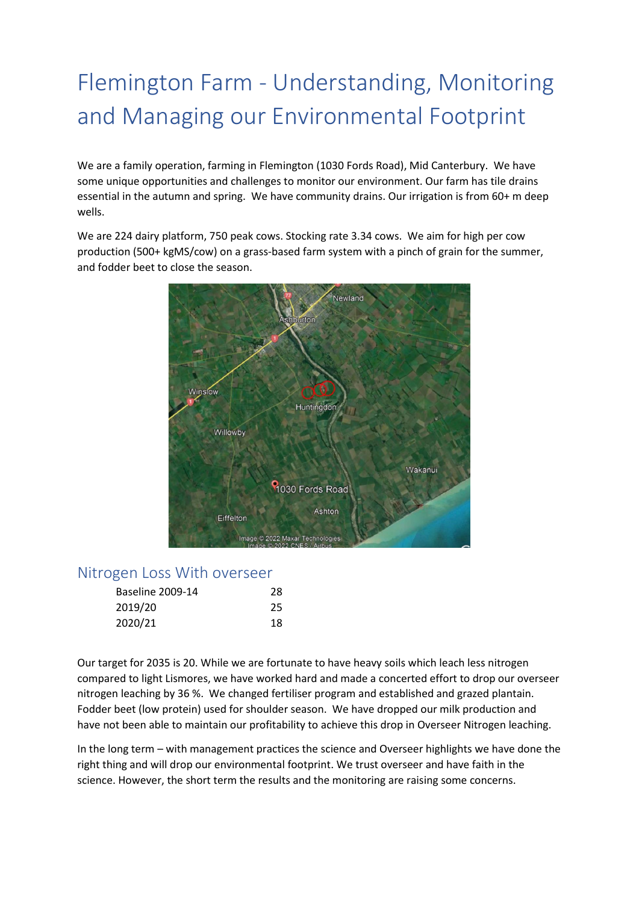# Flemington Farm - Understanding, Monitoring and Managing our Environmental Footprint

We are a family operation, farming in Flemington (1030 Fords Road), Mid Canterbury. We have some unique opportunities and challenges to monitor our environment. Our farm has tile drains essential in the autumn and spring. We have community drains. Our irrigation is from 60+ m deep wells.

We are 224 dairy platform, 750 peak cows. Stocking rate 3.34 cows. We aim for high per cow production (500+ kgMS/cow) on a grass-based farm system with a pinch of grain for the summer, and fodder beet to close the season.



#### Nitrogen Loss With overseer

| <b>Baseline 2009-14</b> | 28 |
|-------------------------|----|
| 2019/20                 | 25 |
| 2020/21                 | 18 |

Our target for 2035 is 20. While we are fortunate to have heavy soils which leach less nitrogen compared to light Lismores, we have worked hard and made a concerted effort to drop our overseer nitrogen leaching by 36 %. We changed fertiliser program and established and grazed plantain. Fodder beet (low protein) used for shoulder season. We have dropped our milk production and have not been able to maintain our profitability to achieve this drop in Overseer Nitrogen leaching.

In the long term – with management practices the science and Overseer highlights we have done the right thing and will drop our environmental footprint. We trust overseer and have faith in the science. However, the short term the results and the monitoring are raising some concerns.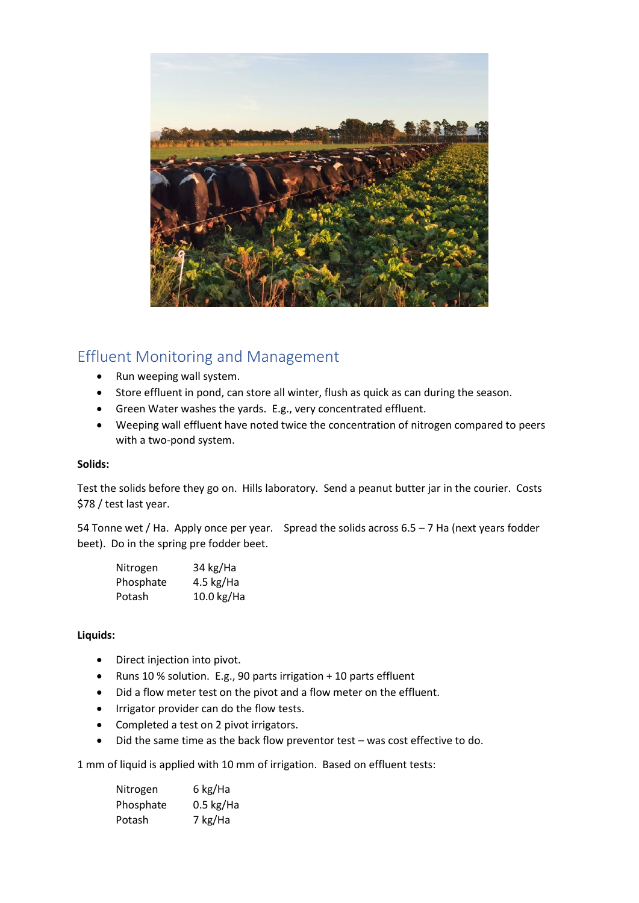

# Effluent Monitoring and Management

- Run weeping wall system.
- Store effluent in pond, can store all winter, flush as quick as can during the season.
- Green Water washes the yards. E.g., very concentrated effluent.
- Weeping wall effluent have noted twice the concentration of nitrogen compared to peers with a two-pond system.

#### **Solids:**

Test the solids before they go on. Hills laboratory. Send a peanut butter jar in the courier. Costs \$78 / test last year.

54 Tonne wet / Ha. Apply once per year. Spread the solids across  $6.5 - 7$  Ha (next years fodder beet). Do in the spring pre fodder beet.

| Nitrogen  | 34 kg/Ha    |
|-----------|-------------|
| Phosphate | 4.5 $kg/Ha$ |
| Potash    | 10.0 kg/Ha  |

#### **Liquids:**

- Direct injection into pivot.
- Runs 10 % solution. E.g., 90 parts irrigation + 10 parts effluent
- Did a flow meter test on the pivot and a flow meter on the effluent.
- Irrigator provider can do the flow tests.
- Completed a test on 2 pivot irrigators.
- Did the same time as the back flow preventor test was cost effective to do.

1 mm of liquid is applied with 10 mm of irrigation. Based on effluent tests:

| Nitrogen  | 6 kg/Ha     |
|-----------|-------------|
| Phosphate | $0.5$ kg/Ha |
| Potash    | 7 kg/Ha     |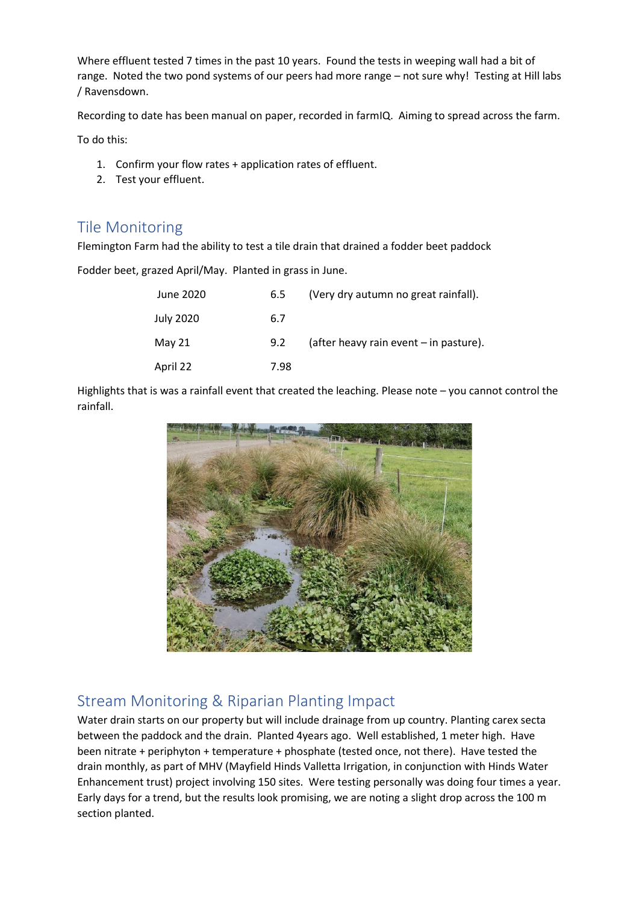Where effluent tested 7 times in the past 10 years. Found the tests in weeping wall had a bit of range. Noted the two pond systems of our peers had more range – not sure why! Testing at Hill labs / Ravensdown.

Recording to date has been manual on paper, recorded in farmIQ. Aiming to spread across the farm.

To do this:

- 1. Confirm your flow rates + application rates of effluent.
- 2. Test your effluent.

#### Tile Monitoring

Flemington Farm had the ability to test a tile drain that drained a fodder beet paddock

Fodder beet, grazed April/May. Planted in grass in June.

| June 2020 | 6.5  | (Very dry autumn no great rainfall).   |
|-----------|------|----------------------------------------|
| July 2020 | 6.7  |                                        |
| May 21    | 9.2  | (after heavy rain event - in pasture). |
| April 22  | 7.98 |                                        |

Highlights that is was a rainfall event that created the leaching. Please note – you cannot control the rainfall.



## Stream Monitoring & Riparian Planting Impact

Water drain starts on our property but will include drainage from up country. Planting carex secta between the paddock and the drain. Planted 4years ago. Well established, 1 meter high. Have been nitrate + periphyton + temperature + phosphate (tested once, not there). Have tested the drain monthly, as part of MHV (Mayfield Hinds Valletta Irrigation, in conjunction with Hinds Water Enhancement trust) project involving 150 sites. Were testing personally was doing four times a year. Early days for a trend, but the results look promising, we are noting a slight drop across the 100 m section planted.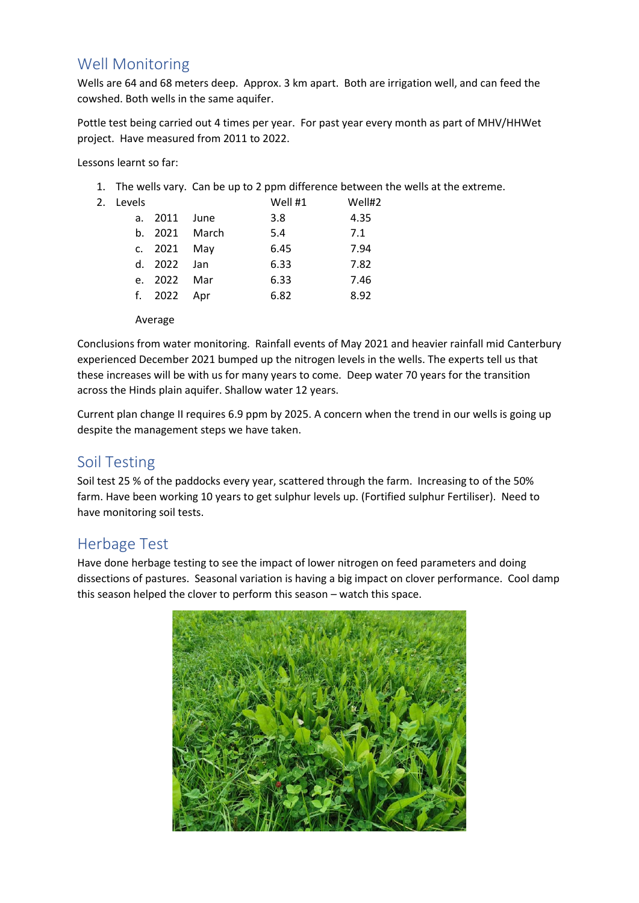## Well Monitoring

Wells are 64 and 68 meters deep. Approx. 3 km apart. Both are irrigation well, and can feed the cowshed. Both wells in the same aquifer.

Pottle test being carried out 4 times per year. For past year every month as part of MHV/HHWet project. Have measured from 2011 to 2022.

Lessons learnt so far:

1. The wells vary. Can be up to 2 ppm difference between the wells at the extreme.

| 2. Levels                                                        |  | Well #1       | Well#2               |  |
|------------------------------------------------------------------|--|---------------|----------------------|--|
| $\begin{array}{c} \n\bullet \bullet \bullet \bullet \end{array}$ |  | $\sim$ $\sim$ | $\sim$ $\sim$ $\sim$ |  |

| a. 2011 June |               | 3.8  | 4.35 |
|--------------|---------------|------|------|
|              | b. 2021 March | 5.4  | 7.1  |
| c. 2021 May  |               | 6.45 | 7.94 |
| d. 2022 Jan  |               | 6.33 | 7.82 |
| e. 2022 Mar  |               | 6.33 | 7.46 |
| f. 2022 Apr  |               | 6.82 | 8.92 |
|              |               |      |      |

Average

Conclusions from water monitoring. Rainfall events of May 2021 and heavier rainfall mid Canterbury experienced December 2021 bumped up the nitrogen levels in the wells. The experts tell us that these increases will be with us for many years to come. Deep water 70 years for the transition across the Hinds plain aquifer. Shallow water 12 years.

Current plan change II requires 6.9 ppm by 2025. A concern when the trend in our wells is going up despite the management steps we have taken.

## Soil Testing

Soil test 25 % of the paddocks every year, scattered through the farm. Increasing to of the 50% farm. Have been working 10 years to get sulphur levels up. (Fortified sulphur Fertiliser). Need to have monitoring soil tests.

## Herbage Test

Have done herbage testing to see the impact of lower nitrogen on feed parameters and doing dissections of pastures. Seasonal variation is having a big impact on clover performance. Cool damp this season helped the clover to perform this season – watch this space.